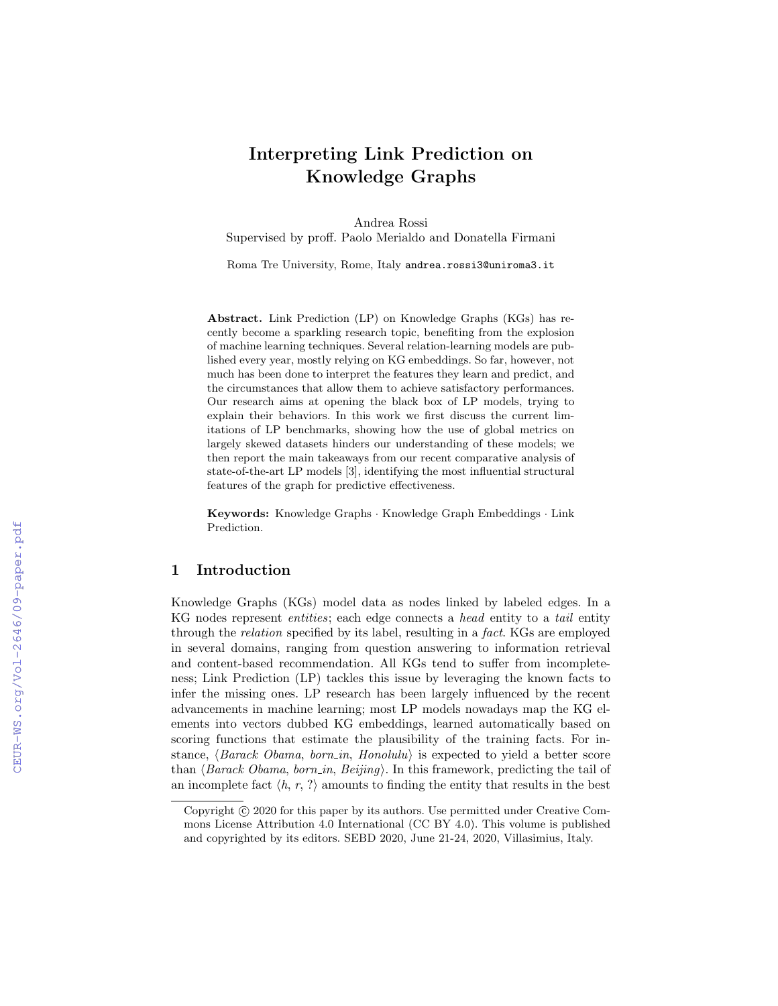# Interpreting Link Prediction on Knowledge Graphs

Andrea Rossi

Supervised by proff. Paolo Merialdo and Donatella Firmani

Roma Tre University, Rome, Italy andrea.rossi3@uniroma3.it

Abstract. Link Prediction (LP) on Knowledge Graphs (KGs) has recently become a sparkling research topic, benefiting from the explosion of machine learning techniques. Several relation-learning models are published every year, mostly relying on KG embeddings. So far, however, not much has been done to interpret the features they learn and predict, and the circumstances that allow them to achieve satisfactory performances. Our research aims at opening the black box of LP models, trying to explain their behaviors. In this work we first discuss the current limitations of LP benchmarks, showing how the use of global metrics on largely skewed datasets hinders our understanding of these models; we then report the main takeaways from our recent comparative analysis of state-of-the-art LP models [3], identifying the most influential structural features of the graph for predictive effectiveness.

Keywords: Knowledge Graphs · Knowledge Graph Embeddings · Link Prediction.

#### 1 Introduction

Knowledge Graphs (KGs) model data as nodes linked by labeled edges. In a KG nodes represent entities; each edge connects a head entity to a tail entity through the relation specified by its label, resulting in a fact. KGs are employed in several domains, ranging from question answering to information retrieval and content-based recommendation. All KGs tend to suffer from incompleteness; Link Prediction (LP) tackles this issue by leveraging the known facts to infer the missing ones. LP research has been largely influenced by the recent advancements in machine learning; most LP models nowadays map the KG elements into vectors dubbed KG embeddings, learned automatically based on scoring functions that estimate the plausibility of the training facts. For instance,  $\langle Barack\;Obama, \;born_in, \; Honolulu \rangle$  is expected to yield a better score than  $\langle Barack\ Obama, born_in, Beijing\rangle$ . In this framework, predicting the tail of an incomplete fact  $\langle h, r, ? \rangle$  amounts to finding the entity that results in the best

Copyright  $\odot$  2020 for this paper by its authors. Use permitted under Creative Commons License Attribution 4.0 International (CC BY 4.0). This volume is published and copyrighted by its editors. SEBD 2020, June 21-24, 2020, Villasimius, Italy.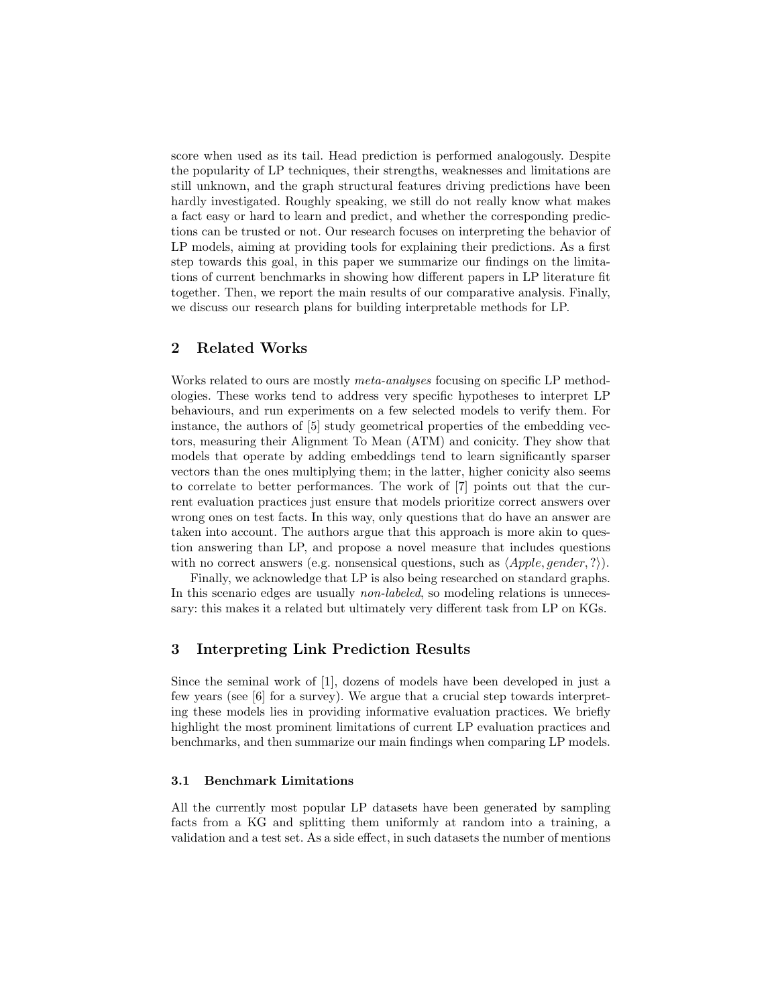score when used as its tail. Head prediction is performed analogously. Despite the popularity of LP techniques, their strengths, weaknesses and limitations are still unknown, and the graph structural features driving predictions have been hardly investigated. Roughly speaking, we still do not really know what makes a fact easy or hard to learn and predict, and whether the corresponding predictions can be trusted or not. Our research focuses on interpreting the behavior of LP models, aiming at providing tools for explaining their predictions. As a first step towards this goal, in this paper we summarize our findings on the limitations of current benchmarks in showing how different papers in LP literature fit together. Then, we report the main results of our comparative analysis. Finally, we discuss our research plans for building interpretable methods for LP.

# 2 Related Works

Works related to ours are mostly *meta-analyses* focusing on specific LP methodologies. These works tend to address very specific hypotheses to interpret LP behaviours, and run experiments on a few selected models to verify them. For instance, the authors of [5] study geometrical properties of the embedding vectors, measuring their Alignment To Mean (ATM) and conicity. They show that models that operate by adding embeddings tend to learn significantly sparser vectors than the ones multiplying them; in the latter, higher conicity also seems to correlate to better performances. The work of [7] points out that the current evaluation practices just ensure that models prioritize correct answers over wrong ones on test facts. In this way, only questions that do have an answer are taken into account. The authors argue that this approach is more akin to question answering than LP, and propose a novel measure that includes questions with no correct answers (e.g. nonsensical questions, such as  $\langle Apple, gender, ? \rangle$ ).

Finally, we acknowledge that LP is also being researched on standard graphs. In this scenario edges are usually *non-labeled*, so modeling relations is unnecessary: this makes it a related but ultimately very different task from LP on KGs.

# 3 Interpreting Link Prediction Results

Since the seminal work of [1], dozens of models have been developed in just a few years (see [6] for a survey). We argue that a crucial step towards interpreting these models lies in providing informative evaluation practices. We briefly highlight the most prominent limitations of current LP evaluation practices and benchmarks, and then summarize our main findings when comparing LP models.

#### 3.1 Benchmark Limitations

All the currently most popular LP datasets have been generated by sampling facts from a KG and splitting them uniformly at random into a training, a validation and a test set. As a side effect, in such datasets the number of mentions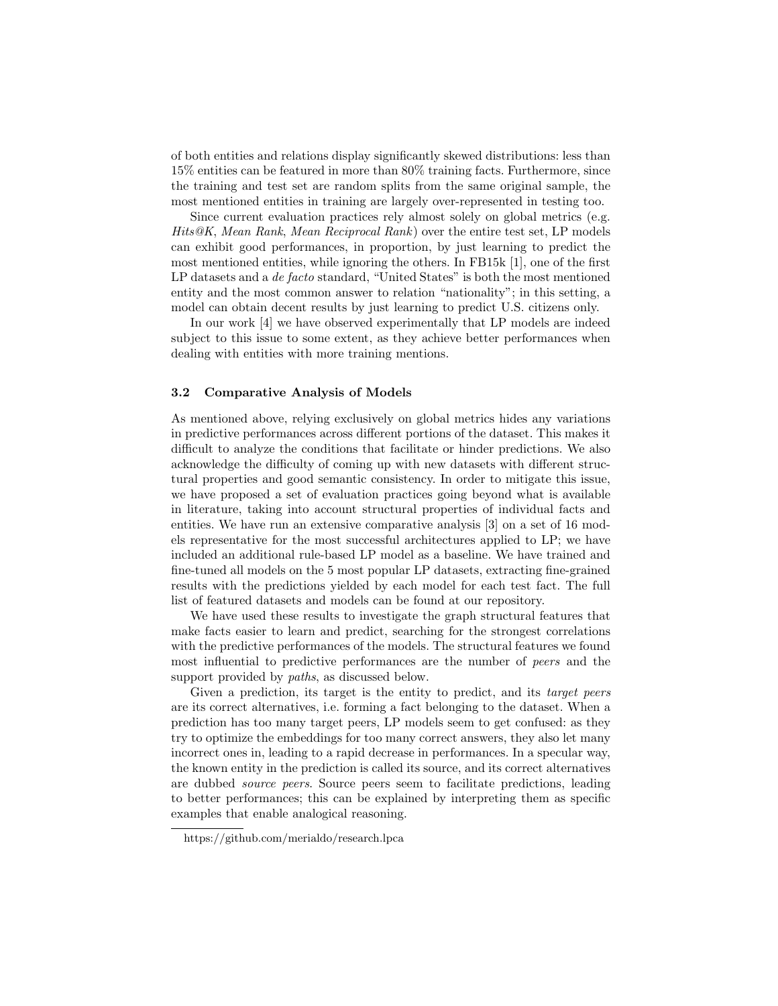of both entities and relations display significantly skewed distributions: less than 15% entities can be featured in more than 80% training facts. Furthermore, since the training and test set are random splits from the same original sample, the most mentioned entities in training are largely over-represented in testing too.

Since current evaluation practices rely almost solely on global metrics (e.g. Hits@K, Mean Rank, Mean Reciprocal Rank) over the entire test set, LP models can exhibit good performances, in proportion, by just learning to predict the most mentioned entities, while ignoring the others. In FB15k [1], one of the first LP datasets and a *de facto* standard, "United States" is both the most mentioned entity and the most common answer to relation "nationality"; in this setting, a model can obtain decent results by just learning to predict U.S. citizens only.

In our work [4] we have observed experimentally that LP models are indeed subject to this issue to some extent, as they achieve better performances when dealing with entities with more training mentions.

#### 3.2 Comparative Analysis of Models

As mentioned above, relying exclusively on global metrics hides any variations in predictive performances across different portions of the dataset. This makes it difficult to analyze the conditions that facilitate or hinder predictions. We also acknowledge the difficulty of coming up with new datasets with different structural properties and good semantic consistency. In order to mitigate this issue, we have proposed a set of evaluation practices going beyond what is available in literature, taking into account structural properties of individual facts and entities. We have run an extensive comparative analysis [3] on a set of 16 models representative for the most successful architectures applied to LP; we have included an additional rule-based LP model as a baseline. We have trained and fine-tuned all models on the 5 most popular LP datasets, extracting fine-grained results with the predictions yielded by each model for each test fact. The full list of featured datasets and models can be found at our repository.

We have used these results to investigate the graph structural features that make facts easier to learn and predict, searching for the strongest correlations with the predictive performances of the models. The structural features we found most influential to predictive performances are the number of peers and the support provided by *paths*, as discussed below.

Given a prediction, its target is the entity to predict, and its target peers are its correct alternatives, i.e. forming a fact belonging to the dataset. When a prediction has too many target peers, LP models seem to get confused: as they try to optimize the embeddings for too many correct answers, they also let many incorrect ones in, leading to a rapid decrease in performances. In a specular way, the known entity in the prediction is called its source, and its correct alternatives are dubbed source peers. Source peers seem to facilitate predictions, leading to better performances; this can be explained by interpreting them as specific examples that enable analogical reasoning.

https://github.com/merialdo/research.lpca